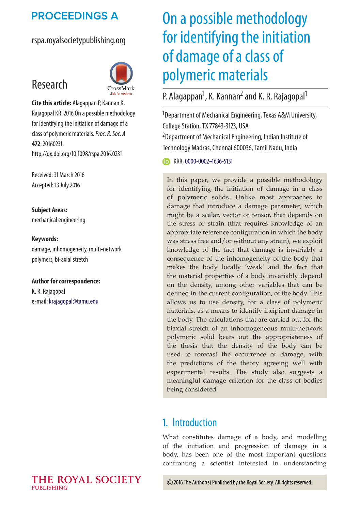# **PROCEEDINGS A**

#### rspa.royalsocietypublishing.org



**Cite this article:** Alagappan P, Kannan K, Rajagopal KR. 2016 On a possible methodology for identifying the initiation of damage of a class of polymeric materials.*Proc. R. Soc. A* **472**: 20160231. http://dx.doi.org/10.1098/rspa.2016.0231

Received: 31 March 2016 Accepted: 13 July 2016

Research

**Subject Areas:** mechanical engineering

#### **Keywords:**

damage, inhomogeneity, multi-network polymers, bi-axial stretch

**Author for correspondence:**

K. R. Rajagopal e-mail: [krajagopal@tamu.edu](mailto:krajagopal@tamu.edu)

# On a possible methodology for identifying the initiation of damage of a class of polymeric materials

# P. Alagappan<sup>1</sup>, K. Kannan<sup>2</sup> and K. R. Rajagopal<sup>1</sup>

<sup>1</sup>Department of Mechanical Engineering, Texas A&M University, College Station, TX 77843-3123, USA 2 Department of Mechanical Engineering, Indian Institute of Technology Madras, Chennai 600036, Tamil Nadu, India

KRR,[0000-0002-4636-5131](http://orcid.org/0000-0002-4636-5131)

In this paper, we provide a possible methodology for identifying the initiation of damage in a class of polymeric solids. Unlike most approaches to damage that introduce a damage parameter, which might be a scalar, vector or tensor, that depends on the stress or strain (that requires knowledge of an appropriate reference configuration in which the body was stress free and/or without any strain), we exploit knowledge of the fact that damage is invariably a consequence of the inhomogeneity of the body that makes the body locally 'weak' and the fact that the material properties of a body invariably depend on the density, among other variables that can be defined in the current configuration, of the body. This allows us to use density, for a class of polymeric materials, as a means to identify incipient damage in the body. The calculations that are carried out for the biaxial stretch of an inhomogeneous multi-network polymeric solid bears out the appropriateness of the thesis that the density of the body can be used to forecast the occurrence of damage, with the predictions of the theory agreeing well with experimental results. The study also suggests a meaningful damage criterion for the class of bodies being considered.

#### 1. Introduction

What constitutes damage of a body, and modelling of the initiation and progression of damage in a body, has been one of the most important questions confronting a scientist interested in understanding

2016 The Author(s) Published by the Royal Society. All rights reserved.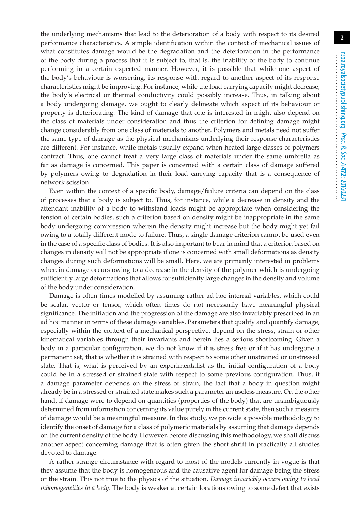the underlying mechanisms that lead to the deterioration of a body with respect to its desired performance characteristics. A simple identification within the context of mechanical issues of what constitutes damage would be the degradation and the deterioration in the performance of the body during a process that it is subject to, that is, the inability of the body to continue performing in a certain expected manner. However, it is possible that while one aspect of the body's behaviour is worsening, its response with regard to another aspect of its response characteristics might be improving. For instance, while the load carrying capacity might decrease, the body's electrical or thermal conductivity could possibly increase. Thus, in talking about a body undergoing damage, we ought to clearly delineate which aspect of its behaviour or property is deteriorating. The kind of damage that one is interested in might also depend on the class of materials under consideration and thus the criterion for defining damage might change considerably from one class of materials to another. Polymers and metals need not suffer the same type of damage as the physical mechanisms underlying their response characteristics are different. For instance, while metals usually expand when heated large classes of polymers contract. Thus, one cannot treat a very large class of materials under the same umbrella as far as damage is concerned. This paper is concerned with a certain class of damage suffered by polymers owing to degradation in their load carrying capacity that is a consequence of network scission.

Even within the context of a specific body, damage/failure criteria can depend on the class of processes that a body is subject to. Thus, for instance, while a decrease in density and the attendant inability of a body to withstand loads might be appropriate when considering the tension of certain bodies, such a criterion based on density might be inappropriate in the same body undergoing compression wherein the density might increase but the body might yet fail owing to a totally different mode to failure. Thus, a single damage criterion cannot be used even in the case of a specific class of bodies. It is also important to bear in mind that a criterion based on changes in density will not be appropriate if one is concerned with small deformations as density changes during such deformations will be small. Here, we are primarily interested in problems wherein damage occurs owing to a decrease in the density of the polymer which is undergoing sufficiently large deformations that allows for sufficiently large changes in the density and volume of the body under consideration.

Damage is often times modelled by assuming rather ad hoc internal variables, which could be scalar, vector or tensor, which often times do not necessarily have meaningful physical significance. The initiation and the progression of the damage are also invariably prescribed in an ad hoc manner in terms of these damage variables. Parameters that qualify and quantify damage, especially within the context of a mechanical perspective, depend on the stress, strain or other kinematical variables through their invariants and herein lies a serious shortcoming. Given a body in a particular configuration, we do not know if it is stress free or if it has undergone a permanent set, that is whether it is strained with respect to some other unstrained or unstressed state. That is, what is perceived by an experimentalist as the initial configuration of a body could be in a stressed or strained state with respect to some previous configuration. Thus, if a damage parameter depends on the stress or strain, the fact that a body in question might already be in a stressed or strained state makes such a parameter an useless measure. On the other hand, if damage were to depend on quantities (properties of the body) that are unambiguously determined from information concerning its value purely in the current state, then such a measure of damage would be a meaningful measure. In this study, we provide a possible methodology to identify the onset of damage for a class of polymeric materials by assuming that damage depends on the current density of the body. However, before discussing this methodology, we shall discuss another aspect concerning damage that is often given the short shrift in practically all studies devoted to damage.

A rather strange circumstance with regard to most of the models currently in vogue is that they assume that the body is homogeneous and the causative agent for damage being the stress or the strain. This not true to the physics of the situation. *Damage invariably occurs owing to local inhomogeneities in a body*. The body is weaker at certain locations owing to some defect that exists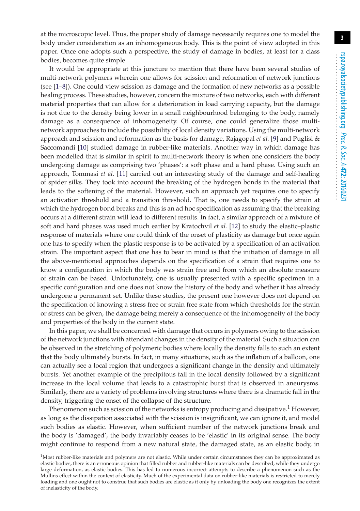at the microscopic level. Thus, the proper study of damage necessarily requires one to model the body under consideration as an inhomogeneous body. This is the point of view adopted in this paper. Once one adopts such a perspective, the study of damage in bodies, at least for a class bodies, becomes quite simple.

It would be appropriate at this juncture to mention that there have been several studies of multi-network polymers wherein one allows for scission and reformation of network junctions (see [\[1](#page-17-0)[–8\]](#page-17-1)). One could view scission as damage and the formation of new networks as a possible healing process. These studies, however, concern the mixture of two networks, each with different material properties that can allow for a deterioration in load carrying capacity, but the damage is not due to the density being lower in a small neighbourhood belonging to the body, namely damage as a consequence of inhomogeneity. Of course, one could generalize those multinetwork approaches to include the possibility of local density variations. Using the multi-network approach and scission and reformation as the basis for damage, Rajagopal *et al.* [\[9\]](#page-17-2) and Puglisi & Saccomandi [\[10\]](#page-17-3) studied damage in rubber-like materials. Another way in which damage has been modelled that is similar in spirit to multi-network theory is when one considers the body undergoing damage as comprising two 'phases': a soft phase and a hard phase. Using such an approach, Tommasi *et al.* [\[11\]](#page-17-4) carried out an interesting study of the damage and self-healing of spider silks. They took into account the breaking of the hydrogen bonds in the material that leads to the softening of the material. However, such an approach yet requires one to specify an activation threshold and a transition threshold. That is, one needs to specify the strain at which the hydrogen bond breaks and this is an ad hoc specification as assuming that the breaking occurs at a different strain will lead to different results. In fact, a similar approach of a mixture of soft and hard phases was used much earlier by Kratochvil *et al.* [\[12\]](#page-17-5) to study the elastic–plastic response of materials where one could think of the onset of plasticity as damage but once again one has to specify when the plastic response is to be activated by a specification of an activation strain. The important aspect that one has to bear in mind is that the initiation of damage in all the above-mentioned approaches depends on the specification of a strain that requires one to know a configuration in which the body was strain free and from which an absolute measure of strain can be based. Unfortunately, one is usually presented with a specific specimen in a specific configuration and one does not know the history of the body and whether it has already undergone a permanent set. Unlike these studies, the present one however does not depend on the specification of knowing a stress free or strain free state from which thresholds for the strain or stress can be given, the damage being merely a consequence of the inhomogeneity of the body and properties of the body in the current state.

In this paper, we shall be concerned with damage that occurs in polymers owing to the scission of the network junctions with attendant changes in the density of the material. Such a situation can be observed in the stretching of polymeric bodies where locally the density falls to such an extent that the body ultimately bursts. In fact, in many situations, such as the inflation of a balloon, one can actually see a local region that undergoes a significant change in the density and ultimately bursts. Yet another example of the precipitous fall in the local density followed by a significant increase in the local volume that leads to a catastrophic burst that is observed in aneurysms. Similarly, there are a variety of problems involving structures where there is a dramatic fall in the density, triggering the onset of the collapse of the structure.

Phenomenon such as scission of the networks is entropy producing and dissipative.<sup>1</sup> However, as long as the dissipation associated with the scission is insignificant, we can ignore it, and model such bodies as elastic. However, when sufficient number of the network junctions break and the body is 'damaged', the body invariably ceases to be 'elastic' in its original sense. The body might continue to respond from a new natural state, the damaged state, as an elastic body, in

<sup>&</sup>lt;sup>1</sup>Most rubber-like materials and polymers are not elastic. While under certain circumstances they can be approximated as elastic bodies, there is an erroneous opinion that filled rubber and rubber-like materials can be described, while they undergo large deformation, as elastic bodies. This has led to numerous incorrect attempts to describe a phenomenon such as the Mullins effect within the context of elasticity. Much of the experimental data on rubber-like materials is restricted to merely loading and one ought not to construe that such bodies are elastic as it only by unloading the body one recognizes the extent of inelasticity of the body.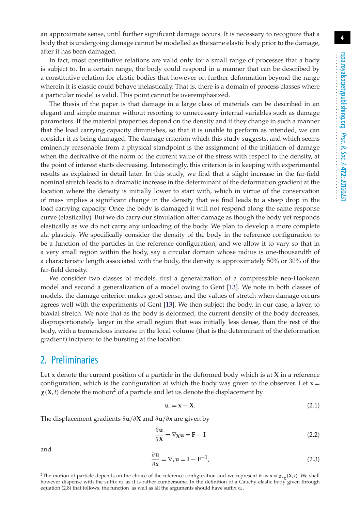an approximate sense, until further significant damage occurs. It is necessary to recognize that a body that is undergoing damage cannot be modelled as the same elastic body prior to the damage, after it has been damaged.

In fact, most constitutive relations are valid only for a small range of processes that a body is subject to. In a certain range, the body could respond in a manner that can be described by a constitutive relation for elastic bodies that however on further deformation beyond the range wherein it is elastic could behave inelastically. That is, there is a domain of process classes where a particular model is valid. This point cannot be overemphasized.

The thesis of the paper is that damage in a large class of materials can be described in an elegant and simple manner without resorting to unnecessary internal variables such as damage parameters. If the material properties depend on the density and if they change in such a manner that the load carrying capacity diminishes, so that it is unable to perform as intended, we can consider it as being damaged. The damage criterion which this study suggests, and which seems eminently reasonable from a physical standpoint is the assignment of the initiation of damage when the derivative of the norm of the current value of the stress with respect to the density, at the point of interest starts decreasing. Interestingly, this criterion is in keeping with experimental results as explained in detail later. In this study, we find that a slight increase in the far-field nominal stretch leads to a dramatic increase in the determinant of the deformation gradient at the location where the density is initially lower to start with, which in virtue of the conservation of mass implies a significant change in the density that we find leads to a steep drop in the load carrying capacity. Once the body is damaged it will not respond along the same response curve (elastically). But we do carry our simulation after damage as though the body yet responds elastically as we do not carry any unloading of the body. We plan to develop a more complete ala plasticiy. We specifically consider the density of the body in the reference configuration to be a function of the particles in the reference configuration, and we allow it to vary so that in a very small region within the body, say a circular domain whose radius is one-thousandth of a characteristic length associated with the body, the density is approximately 50% or 30% of the far-field density.

We consider two classes of models, first a generalization of a compressible neo-Hookean model and second a generalization of a model owing to Gent [\[13\]](#page-17-6). We note in both classes of models, the damage criterion makes good sense, and the values of stretch when damage occurs agrees well with the experiments of Gent [\[13\]](#page-17-6). We then subject the body, in our case, a layer, to biaxial stretch. We note that as the body is deformed, the current density of the body decreases, disproportionately larger in the small region that was initially less dense, than the rest of the body, with a tremendous increase in the local volume (that is the determinant of the deformation gradient) incipient to the bursting at the location.

### 2. Preliminaries

Let **x** denote the current position of a particle in the deformed body which is at **X** in a reference configuration, which is the configuration at which the body was given to the observer. Let  $x =$  $\chi$ (*X*, *t*) denote the motion<sup>2</sup> of a particle and let us denote the displacement by

$$
\mathbf{u} := \mathbf{x} - \mathbf{X}.\tag{2.1}
$$

The displacement gradients ∂**u**/∂**X** and ∂**u**/∂**x** are given by

$$
\frac{\partial \mathbf{u}}{\partial \mathbf{X}} = \nabla_{\mathbf{X}} \mathbf{u} = \mathbf{F} - \mathbf{I}
$$
 (2.2)

and

$$
\frac{\partial \mathbf{u}}{\partial \mathbf{x}} = \nabla_{\mathbf{x}} \mathbf{u} = \mathbf{I} - \mathbf{F}^{-1},\tag{2.3}
$$

<sup>&</sup>lt;sup>2</sup>The motion of particle depends on the choice of the reference configuration and we represent it as  $\mathbf{x} = \chi_{k}(\mathbf{X}, t)$ . We shall however dispense with the suffix κ*<sup>R</sup>* as it is rather cumbersome. In the definition of a Cauchy elastic body given through equation (2.8) that follows, the function as well as all the arguments should have suffix κ*R*.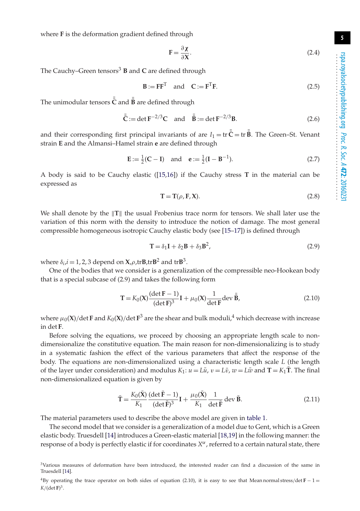where **F** is the deformation gradient defined through

$$
\mathbf{F} = \frac{\partial \mathbf{\chi}}{\partial \mathbf{X}}.\tag{2.4}
$$

The Cauchy-Green tensors<sup>3</sup> **B** and **C** are defined through

$$
\mathbf{B} := \mathbf{F}\mathbf{F}^{\mathrm{T}} \quad \text{and} \quad \mathbf{C} := \mathbf{F}^{\mathrm{T}}\mathbf{F}.\tag{2.5}
$$

The unimodular tensors  $C$  and  $\bar{B}$  are defined through

$$
\bar{\bar{\mathbf{C}}} := \det \mathbf{F}^{-2/3} \mathbf{C} \quad \text{and} \quad \bar{\bar{\mathbf{B}}} := \det \mathbf{F}^{-2/3} \mathbf{B}.
$$
 (2.6)

and their corresponding first principal invariants of are  $I_1 = \text{tr } \bar{C} = \text{tr } \bar{B}$ . The Green–St. Venant strain **E** and the Almansi–Hamel strain **e** are defined through

$$
E := \frac{1}{2}(C - I) \quad \text{and} \quad e := \frac{1}{2}(I - B^{-1}). \tag{2.7}
$$

A body is said to be Cauchy elastic ([\[15](#page-17-7)[,16\]](#page-17-8)) if the Cauchy stress **T** in the material can be expressed as

$$
\mathbf{T} = \mathbf{T}(\rho, \mathbf{F}, \mathbf{X}).\tag{2.8}
$$

We shall denote by the  $\|T\|$  the usual Frobenius trace norm for tensors. We shall later use the variation of this norm with the density to introduce the notion of damage. The most general compressible homogeneous isotropic Cauchy elastic body (see [\[15](#page-17-7)[–17\]](#page-17-9)) is defined through

$$
\mathbf{T} = \delta_1 \mathbf{I} + \delta_2 \mathbf{B} + \delta_3 \mathbf{B}^2, \tag{2.9}
$$

where  $\delta_i$ , $i = 1, 2, 3$  depend on  $X$ , $\rho$ ,tr**B**,tr**B**<sup>2</sup> and tr**B**<sup>3</sup>.

One of the bodies that we consider is a generalization of the compressible neo-Hookean body that is a special subcase of (2.9) and takes the following form

$$
\mathbf{T} = K_0(\mathbf{X}) \frac{(\det \mathbf{F} - 1)}{(\det \mathbf{F})^3} \mathbf{I} + \mu_0(\mathbf{X}) \frac{1}{\det \mathbf{F}} \det \bar{\mathbf{B}},
$$
\n(2.10)

where  $\mu_0(\mathbf{X})$ /det **F** and  $K_0(\mathbf{X})$ /det  $\mathbf{F}^3$  are the shear and bulk moduli,<sup>4</sup> which decrease with increase in det **F**.

Before solving the equations, we proceed by choosing an appropriate length scale to nondimensionalize the constitutive equation. The main reason for non-dimensionalizing is to study in a systematic fashion the effect of the various parameters that affect the response of the body. The equations are non-dimensionalized using a characteristic length scale *L* (the length of the layer under consideration) and modulus  $K_1: u = L\bar{u}$ ,  $v = L\bar{v}$ ,  $w = L\bar{w}$  and  $T = K_1\bar{T}$ . The final non-dimensionalized equation is given by

$$
\overline{\mathbf{T}} = \frac{K_0(\overline{\mathbf{X}})}{K_1} \frac{(\det \overline{\mathbf{F}} - 1)}{(\det \overline{\mathbf{F}})^3} \mathbf{I} + \frac{\mu_0(\overline{\mathbf{X}})}{K_1} \frac{1}{\det \overline{\mathbf{F}}} \operatorname{dev} \overline{\mathbf{B}}.
$$
 (2.11)

The material parameters used to describe the above model are given in [table 1.](#page-5-0)

The second model that we consider is a generalization of a model due to Gent, which is a Green elastic body. Truesdell [\[14\]](#page-17-10) introduces a Green-elastic material [\[18](#page-17-11)[,19\]](#page-17-12) in the following manner: the response of a body is perfectly elastic if for coordinates  $X^{\alpha}$ , referred to a certain natural state, there

<sup>3</sup>Various measures of deformation have been introduced, the interested reader can find a discussion of the same in Truesdell [\[14\]](#page-17-10).

<sup>&</sup>lt;sup>4</sup>By operating the trace operator on both sides of equation (2.10), it is easy to see that Mean normal stress/det  $F - 1 =$  $K/(det F)^3$ .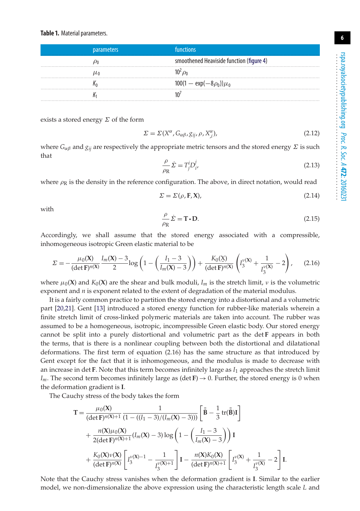#### <span id="page-5-0"></span>Table 1. Material parameters.

| <b>parameters</b> |                                          |
|-------------------|------------------------------------------|
|                   | smoothened Heaviside function (figure 4) |
| $\mu_{0}$         | $102$ $\Omega$ <sub>0</sub>              |
|                   | $100(1 - \exp(-8\omega_0))\mu_0$         |
|                   |                                          |

exists a stored energy  $\Sigma$  of the form

$$
\Sigma = \Sigma(X^{\alpha}, G_{\alpha\beta}, g_{ij}, \rho, X^{\alpha}_{j}), \qquad (2.12)
$$

where  $G_{\alpha\beta}$  and  $g_{ii}$  are respectively the appropriate metric tensors and the stored energy  $\Sigma$  is such that

$$
\frac{\rho}{\rho_{\rm R}}\dot{\Sigma} = T^i_j D^j_{i'}
$$
\n(2.13)

where  $\rho_R$  is the density in the reference configuration. The above, in direct notation, would read

$$
\Sigma = \Sigma(\rho, \mathbf{F}, \mathbf{X}),\tag{2.14}
$$

with

$$
\frac{\rho}{\rho_{\rm R}}\dot{\Sigma} = \mathbf{T} \cdot \mathbf{D}.\tag{2.15}
$$

Accordingly, we shall assume that the stored energy associated with a compressible, inhomogeneous isotropic Green elastic material to be

$$
\Sigma = -\frac{\mu_0(\mathbf{X})}{(\det \mathbf{F})^{n(\mathbf{X})}} \frac{I_m(\mathbf{X}) - 3}{2} \log \left( 1 - \left( \frac{I_1 - 3}{I_m(\mathbf{X}) - 3} \right) \right) + \frac{K_0(\mathbf{X})}{(\det \mathbf{F})^{n(\mathbf{X})}} \left( I_3^{\nu(\mathbf{X})} + \frac{1}{I_3^{\nu(\mathbf{X})}} - 2 \right), \tag{2.16}
$$

where  $\mu_0(\mathbf{X})$  and  $K_0(\mathbf{X})$  are the shear and bulk moduli,  $I_m$  is the stretch limit,  $\nu$  is the volumetric exponent and  $n$  is exponent related to the extent of degradation of the material modulus.

It is a fairly common practice to partition the stored energy into a distortional and a volumetric part [20,21]. Gent [13] introduced a stored energy function for rubber-like materials wherein a finite stretch limit of cross-linked polymeric materials are taken into account. The rubber was assumed to be a homogeneous, isotropic, incompressible Green elastic body. Our stored energy cannot be split into a purely distortional and volumetric part as the det F appears in both the terms, that is there is a nonlinear coupling between both the distortional and dilatational deformations. The first term of equation (2.16) has the same structure as that introduced by Gent except for the fact that it is inhomogeneous, and the modulus is made to decrease with an increase in det F. Note that this term becomes infinitely large as  $I_1$  approaches the stretch limit  $I_m$ . The second term becomes infinitely large as (det F)  $\rightarrow$  0. Further, the stored energy is 0 when the deformation gradient is I.

The Cauchy stress of the body takes the form

$$
T = \frac{\mu_0(X)}{(\det F)^{n(X)+1}} \frac{1}{(1 - ((I_1 - 3)/(I_m(X) - 3)))} \left[ \bar{\mathbf{B}} - \frac{1}{3} \operatorname{tr}(\bar{\mathbf{B}}) \mathbf{I} \right]
$$
  
+ 
$$
\frac{n(X)\mu_0(X)}{2(\det F)^{n(X)+1}} (I_m(X) - 3) \log \left( 1 - \left( \frac{I_1 - 3}{I_m(X) - 3} \right) \right) \mathbf{I}
$$
  
+ 
$$
\frac{K_0(X)\nu(X)}{(\det F)^{n(X)}} \left[ I_3^{v(X)-1} - \frac{1}{I_3^{v(X)+1}} \right] \mathbf{I} - \frac{n(X)K_0(X)}{(\det F)^{n(X)+1}} \left[ I_3^{v(X)} + \frac{1}{I_3^{v(X)}} - 2 \right] \mathbf{I}.
$$

Note that the Cauchy stress vanishes when the deformation gradient is I. Similar to the earlier model, we non-dimensionalize the above expression using the characteristic length scale L and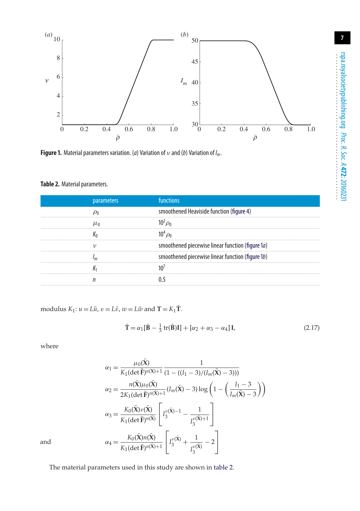$\overline{7}$ 



<span id="page-6-0"></span>**Figure 1.** Material parameters variation. (a) Variation of  $\nu$  and (b) Variation of  $I_m$ .

Table 2. Material parameters.

<span id="page-6-1"></span>

| parameters | <b>functions</b>                                 |
|------------|--------------------------------------------------|
|            | smoothened Heaviside function (figure 4)         |
|            | $10^{2} \rho_0$                                  |
|            | $10^4$ $\Omega$ <sub>0</sub>                     |
|            | smoothened piecewise linear function (figure 1a) |
|            | smoothened piecewise linear function (figure 1b) |
|            |                                                  |
|            |                                                  |

modulus  $K_1$ :  $u = L\bar{u}$ ,  $v = L\bar{v}$ ,  $w = L\bar{w}$  and  $\mathbf{T} = K_1\bar{\mathbf{T}}$ .

$$
\overline{\mathbf{T}} = \alpha_1 [\overline{\mathbf{B}} - \frac{1}{3} \operatorname{tr}(\overline{\mathbf{B}}) \mathbf{I}] + [\alpha_2 + \alpha_3 - \alpha_4] \mathbf{I}, \tag{2.17}
$$

where

$$
\alpha_{1} = \frac{\mu_{0}(\bar{\mathbf{X}})}{K_{1}(\det \bar{\mathbf{F}})^{n(\bar{\mathbf{X}})+1}} \frac{1}{(1 - ((I_{1} - 3)/(I_{m}(\bar{\mathbf{X}}) - 3)))}
$$

$$
\alpha_{2} = \frac{n(\bar{\mathbf{X}})\mu_{0}(\bar{\mathbf{X}})}{2K_{1}(\det \bar{\mathbf{F}})^{n(\bar{\mathbf{X}})+1}} (I_{m}(\bar{\mathbf{X}}) - 3) \log \left(1 - \left(\frac{I_{1} - 3}{I_{m}(\bar{\mathbf{X}}) - 3}\right)\right)
$$

$$
\alpha_{3} = \frac{K_{0}(\bar{\mathbf{X}})\nu(\bar{\mathbf{X}})}{K_{1}(\det \bar{\mathbf{F}})^{n(\bar{\mathbf{X}})}} \left[\frac{I_{3}^{\nu(\bar{\mathbf{X}})-1}}{I_{3}^{\nu(\bar{\mathbf{X}})+1}} - \frac{1}{I_{3}^{\nu(\bar{\mathbf{X}})+1}}\right]
$$

$$
\alpha_{4} = \frac{K_{0}(\bar{\mathbf{X}})n(\bar{\mathbf{X}})}{K_{1}(\det \bar{\mathbf{F}})^{n(\bar{\mathbf{X}})+1}} \left[\frac{I_{3}^{\nu(\bar{\mathbf{X}})} + \frac{1}{I_{3}^{\nu(\bar{\mathbf{X}})}} - 2}{I_{3}^{\nu(\bar{\mathbf{X}})} - 2}\right]
$$

and

The material parameters used in this study are shown in table 2.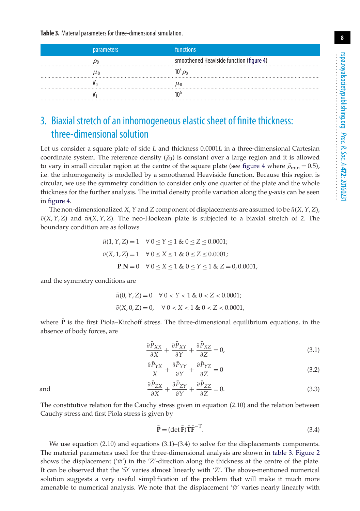<span id="page-7-0"></span>Table 3. Material parameters for three-dimensional simulation.

| parameters | <b>functions</b>                         |
|------------|------------------------------------------|
|            | smoothened Heaviside function (figure 4) |
|            | $103$ $\rho_0$                           |
|            |                                          |
|            |                                          |

# 3. Biaxial stretch of an inhomogeneous elastic sheet of finite thickness: three-dimensional solution

Let us consider a square plate of side L and thickness 0.0001L in a three-dimensional Cartesian coordinate system. The reference density  $(\bar{\rho}_0)$  is constant over a large region and it is allowed to vary in small circular region at the centre of the square plate (see figure 4 where  $\bar{\rho}_{min} = 0.5$ ), i.e. the inhomogeneity is modelled by a smoothened Heaviside function. Because this region is circular, we use the symmetry condition to consider only one quarter of the plate and the whole thickness for the further analysis. The initial density profile variation along the y-axis can be seen in figure 4.

The non-dimensionalized X, Y and Z component of displacements are assumed to be  $\bar{u}(X, Y, Z)$ ,  $\bar{v}(X, Y, Z)$  and  $\bar{w}(X, Y, Z)$ . The neo-Hookean plate is subjected to a biaxial stretch of 2. The boundary condition are as follows

$$
\bar{u}(1, Y, Z) = 1 \quad \forall \ 0 \le Y \le 1 \ \& \ 0 \le Z \le 0.0001;
$$
\n
$$
\bar{v}(X, 1, Z) = 1 \quad \forall \ 0 \le X \le 1 \ \& \ 0 \le Z \le 0.0001;
$$
\n
$$
\bar{P} \cdot \mathbf{N} = 0 \quad \forall \ 0 \le X \le 1 \ \& \ 0 \le Y \le 1 \ \& \ Z = 0, 0.0001;
$$

and the symmetry conditions are

$$
\bar{u}(0, Y, Z) = 0 \quad \forall \ 0 < Y < 1 \ \& \ 0 < Z < 0.0001;
$$
\n
$$
\bar{v}(X, 0, Z) = 0, \quad \forall \ 0 < X < 1 \ \& \ 0 < Z < 0.0001,
$$

where  $\bar{P}$  is the first Piola–Kirchoff stress. The three-dimensional equilibrium equations, in the absence of body forces, are

$$
\frac{\partial \bar{P}_{XX}}{\partial X} + \frac{\partial \bar{P}_{XY}}{\partial Y} + \frac{\partial \bar{P}_{XZ}}{\partial Z} = 0,
$$
\n(3.1)

$$
\frac{\partial \bar{P}_{YX}}{X} + \frac{\partial \bar{P}_{YY}}{\partial Y} + \frac{\partial \bar{P}_{YZ}}{\partial Z} = 0
$$
\n(3.2)

$$
\frac{\partial \bar{P}_{ZX}}{\partial X} + \frac{\partial \bar{P}_{ZY}}{\partial Y} + \frac{\partial \bar{P}_{ZZ}}{\partial Z} = 0.
$$
 (3.3)

and

The constitutive relation for the Cauchy stress given in equation (2.10) and the relation between Cauchy stress and first Piola stress is given by

$$
\bar{\mathbf{P}} = (\det \bar{\mathbf{F}}) \bar{\mathbf{T}} \bar{\mathbf{F}}^{-T}.
$$
 (3.4)

We use equation  $(2.10)$  and equations  $(3.1)$ – $(3.4)$  to solve for the displacements components. The material parameters used for the three-dimensional analysis are shown in table 3. Figure 2 shows the displacement  $(\bar{w})$  in the 'Z'-direction along the thickness at the centre of the plate. It can be observed that the ' $\bar{w}$ ' varies almost linearly with 'Z'. The above-mentioned numerical solution suggests a very useful simplification of the problem that will make it much more amenable to numerical analysis. We note that the displacement ' $\bar{w}$ ' varies nearly linearly with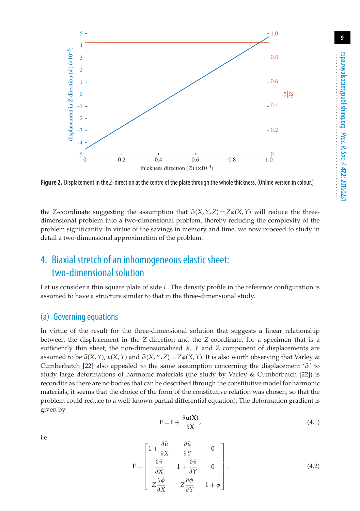

<span id="page-8-0"></span>**Figure 2.** Displacement in the*Z*-direction at the centre of the plate through the whole thickness. (Online version in colour.)

the *Z*-coordinate suggesting the assumption that  $\bar{w}(X, Y, Z) = Z\phi(X, Y)$  will reduce the threedimensional problem into a two-dimensional problem, thereby reducing the complexity of the problem significantly. In virtue of the savings in memory and time, we now proceed to study in detail a two-dimensional approximation of the problem.

## 4. Biaxial stretch of an inhomogeneous elastic sheet: two-dimensional solution

Let us consider a thin square plate of side *L*. The density profile in the reference configuration is assumed to have a structure similar to that in the three-dimensional study.

#### (a) Governing equations

In virtue of the result for the three-dimensional solution that suggests a linear relationship between the displacement in the *Z*-direction and the *Z*-coordinate, for a specimen that is a sufficiently thin sheet, the non-dimensionalized *X*, *Y* and *Z* component of displacements are assumed to be  $\bar{u}(X, Y)$ ,  $\bar{v}(X, Y)$  and  $\bar{w}(X, Y, Z) = Z\phi(X, Y)$ . It is also worth observing that Varley & Cumberbatch [\[22\]](#page-17-15) also appealed to the same assumption concerning the displacement ' $\bar{w}'$  to study large deformations of harmonic materials (the study by Varley & Cumberbatch [\[22\]](#page-17-15)) is recondite as there are no bodies that can be described through the constitutive model for harmonic materials, it seems that the choice of the form of the constitutive relation was chosen, so that the problem could reduce to a well-known partial differential equation). The deformation gradient is given by

$$
\mathbf{F} = \mathbf{I} + \frac{\partial \mathbf{u}(\mathbf{X})}{\partial \mathbf{X}},\tag{4.1}
$$

i.e.

$$
\mathbf{F} = \begin{bmatrix} 1 + \frac{\partial \bar{u}}{\partial X} & \frac{\partial \bar{u}}{\partial Y} & 0 \\ \frac{\partial \bar{v}}{\partial X} & 1 + \frac{\partial \bar{v}}{\partial Y} & 0 \\ Z \frac{\partial \phi}{\partial X} & Z \frac{\partial \phi}{\partial Y} & 1 + \phi \end{bmatrix}.
$$
 (4.2)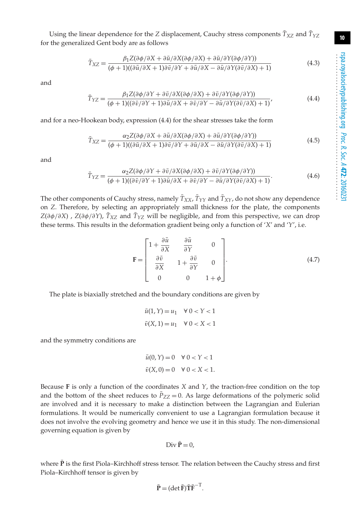Using the linear dependence for the *Z* displacement, Cauchy stress components  $\bar{T}_{XZ}$  and  $\bar{T}_{YZ}$ for the generalized Gent body are as follows

$$
\bar{T}_{XZ} = \frac{\beta_1 Z(\partial \phi/\partial X + \partial \bar{u}/\partial X(\partial \phi/\partial X) + \partial \bar{u}/\partial Y(\partial \phi/\partial Y))}{(\phi + 1)((\partial \bar{u}/\partial X + 1)\partial \bar{v}/\partial Y + \partial \bar{u}/\partial X - \partial \bar{u}/\partial Y(\partial \bar{v}/\partial X) + 1)}
$$
(4.3)

and

$$
\bar{T}_{YZ} = \frac{\beta_1 Z(\partial \phi/\partial Y + \partial \bar{\nu}/\partial X(\partial \phi/\partial X) + \partial \bar{\nu}/\partial Y(\partial \phi/\partial Y))}{(\phi + 1)((\partial \bar{\nu}/\partial Y + 1)\partial \bar{\mu}/\partial X + \partial \bar{\nu}/\partial Y - \partial \bar{\mu}/\partial Y(\partial \bar{\nu}/\partial X) + 1)},
$$
(4.4)

and for a neo-Hookean body, expression (4.4) for the shear stresses take the form

$$
\bar{T}_{XZ} = \frac{\alpha_2 Z(\partial \phi/\partial X + \partial \bar{u}/\partial X(\partial \phi/\partial X) + \partial \bar{u}/\partial Y(\partial \phi/\partial Y))}{(\phi + 1)((\partial \bar{u}/\partial X + 1)\partial \bar{v}/\partial Y + \partial \bar{u}/\partial X - \partial \bar{u}/\partial Y(\partial \bar{v}/\partial X) + 1)}
$$
(4.5)

and

$$
\bar{T}_{YZ} = \frac{\alpha_2 Z(\partial \phi/\partial Y + \partial \bar{\nu}/\partial X(\partial \phi/\partial X) + \partial \bar{\nu}/\partial Y(\partial \phi/\partial Y))}{(\phi + 1)((\partial \bar{\nu}/\partial Y + 1)\partial \bar{\mu}/\partial X + \partial \bar{\nu}/\partial Y - \partial \bar{\mu}/\partial Y(\partial \bar{\nu}/\partial X) + 1)}.
$$
(4.6)

The other components of Cauchy stress, namely  $\bar{T}_{XX}$ ,  $\bar{T}_{YY}$  and  $\bar{T}_{XY}$ , do not show any dependence on *Z*. Therefore, by selecting an appropriately small thickness for the plate, the components *Z*( $\partial \phi / \partial X$ ), *Z*( $\partial \phi / \partial Y$ ),  $\bar{T}_{XZ}$  and  $\bar{T}_{YZ}$  will be negligible, and from this perspective, we can drop these terms. This results in the deformation gradient being only a function of '*X*' and '*Y*', i.e.

$$
\mathbf{F} = \begin{bmatrix} 1 + \frac{\partial \bar{u}}{\partial X} & \frac{\partial \bar{u}}{\partial Y} & 0 \\ \frac{\partial \bar{v}}{\partial X} & 1 + \frac{\partial \bar{v}}{\partial Y} & 0 \\ 0 & 0 & 1 + \phi \end{bmatrix} .
$$
 (4.7)

The plate is biaxially stretched and the boundary conditions are given by

$$
\bar{u}(1, Y) = u_1 \quad \forall \ 0 < Y < 1
$$
\n
$$
\bar{v}(X, 1) = u_1 \quad \forall \ 0 < X < 1
$$

and the symmetry conditions are

$$
\bar{u}(0, Y) = 0 \quad \forall \ 0 < Y < 1
$$
\n
$$
\bar{v}(X, 0) = 0 \quad \forall \ 0 < X < 1.
$$

Because **F** is only a function of the coordinates *X* and *Y*, the traction-free condition on the top and the bottom of the sheet reduces to  $\bar{P}_{ZZ} = 0$ . As large deformations of the polymeric solid are involved and it is necessary to make a distinction between the Lagrangian and Eulerian formulations. It would be numerically convenient to use a Lagrangian formulation because it does not involve the evolving geometry and hence we use it in this study. The non-dimensional governing equation is given by

$$
\text{Div }\bar{\mathbf{P}}=0,
$$

where  $\bar{P}$  is the first Piola–Kirchhoff stress tensor. The relation between the Cauchy stress and first Piola–Kirchhoff tensor is given by

$$
\bar{\mathbf{P}} = (\det \bar{\mathbf{F}}) \bar{\mathbf{T}} \bar{\mathbf{F}}^{-T}.
$$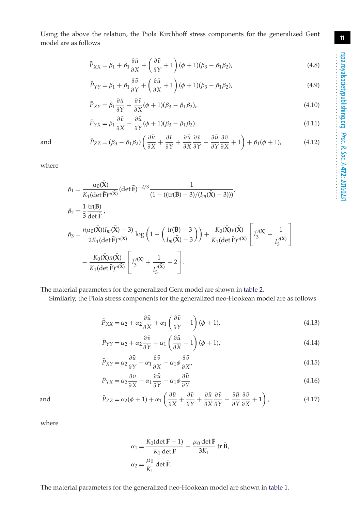Using the above the relation, the Piola Kirchhoff stress components for the generalized Gent model are as follows

$$
\bar{P}_{XX} = \beta_1 + \beta_1 \frac{\partial \bar{u}}{\partial X} + \left(\frac{\partial \bar{v}}{\partial Y} + 1\right)(\phi + 1)(\beta_3 - \beta_1 \beta_2),\tag{4.8}
$$

$$
\bar{P}_{YY} = \beta_1 + \beta_1 \frac{\partial \bar{v}}{\partial Y} + \left(\frac{\partial \bar{u}}{\partial X} + 1\right)(\phi + 1)(\beta_3 - \beta_1 \beta_2),\tag{4.9}
$$

$$
\bar{P}_{XY} = \beta_1 \frac{\partial \bar{u}}{\partial Y} - \frac{\partial \bar{v}}{\partial X} (\phi + 1)(\beta_3 - \beta_1 \beta_2),\tag{4.10}
$$

$$
\bar{P}_{YX} = \beta_1 \frac{\partial \bar{v}}{\partial X} - \frac{\partial \bar{u}}{\partial Y} (\phi + 1)(\beta_3 - \beta_1 \beta_2)
$$
\n(4.11)

 $\frac{\partial \bar{v}}{\partial Y} - \frac{\partial \bar{u}}{\partial Y}$ 

 $\frac{\partial \bar{v}}{\partial X} + 1$  +  $\beta_1(\phi + 1)$ , (4.12)

and 
$$
\bar{P}_{ZZ} = (\beta_3 - \beta_1 \beta_2) \left( \frac{\partial \bar{u}}{\partial X} \right)
$$

where

$$
\beta_1 = \frac{\mu_0(\bar{X})}{K_1(\det \bar{F})^{n(\bar{X})}} (\det \bar{F})^{-2/3} \frac{1}{(1 - ((tr(\bar{B}) - 3)/(I_m(\bar{X}) - 3)))},
$$
\n
$$
\beta_2 = \frac{1}{3} \frac{tr(\bar{B})}{\det \bar{F}},
$$
\n
$$
\beta_3 = \frac{n\mu_0(\bar{X})(I_m(\bar{X}) - 3)}{2K_1(\det \bar{F})^{n(\bar{X})}} \log \left(1 - \left(\frac{tr(\bar{B}) - 3}{I_m(\bar{X}) - 3}\right)\right) + \frac{K_0(\bar{X})\nu(\bar{X})}{K_1(\det \bar{F})^{n(\bar{X})}} \left[\frac{I_3^{\nu(\bar{X})} - \frac{1}{I_3^{\nu(\bar{X})}}}{I_3^{\nu(\bar{X})}}\right]
$$
\n
$$
- \frac{K_0(\bar{X})n(\bar{X})}{K_1(\det \bar{F})^{n(\bar{X})}} \left[\frac{I_3^{\nu(\bar{X})} + \frac{1}{I_3^{\nu(\bar{X})}} - 2}{I_3^{\nu(\bar{X})}}\right].
$$

The material parameters for the generalized Gent model are shown in [table 2.](#page-6-1)

 $\frac{\partial X}{\partial x}$  +

 $\frac{\partial \bar{v}}{\partial x}$  $\overline{\partial Y}$  +

∂*u*¯ ∂*X*

Similarly, the Piola stress components for the generalized neo-Hookean model are as follows

$$
\bar{P}_{XX} = \alpha_2 + \alpha_2 \frac{\partial \bar{u}}{\partial X} + \alpha_1 \left( \frac{\partial \bar{v}}{\partial Y} + 1 \right) (\phi + 1),\tag{4.13}
$$

$$
\bar{P}_{YY} = \alpha_2 + \alpha_2 \frac{\partial \bar{v}}{\partial Y} + \alpha_1 \left(\frac{\partial \bar{u}}{\partial X} + 1\right) (\phi + 1),\tag{4.14}
$$

$$
\bar{P}_{XY} = \alpha_2 \frac{\partial \bar{u}}{\partial Y} - \alpha_1 \frac{\partial \bar{v}}{\partial X} - \alpha_1 \phi \frac{\partial \bar{v}}{\partial X},\tag{4.15}
$$

$$
\bar{P}_{YX} = \alpha_2 \frac{\partial \bar{v}}{\partial X} - \alpha_1 \frac{\partial \bar{u}}{\partial Y} - \alpha_1 \phi \frac{\partial \bar{u}}{\partial Y}
$$
\n(4.16)

and 
$$
\bar{P}_{ZZ} = \alpha_2(\phi + 1) + \alpha_1 \left( \frac{\partial \bar{u}}{\partial X} + \frac{\partial \bar{v}}{\partial Y} + \frac{\partial \bar{u}}{\partial X} \frac{\partial \bar{v}}{\partial Y} - \frac{\partial \bar{u}}{\partial Y} \frac{\partial \bar{v}}{\partial X} + 1 \right),
$$
 (4.17)

where

$$
\alpha_1 = \frac{K_0(\det \bar{\mathbf{F}} - 1)}{K_1 \det \bar{\mathbf{F}}} - \frac{\mu_0 \det \bar{\mathbf{F}}}{3K_1} \operatorname{tr} \bar{\mathbf{B}},
$$

$$
\alpha_2 = \frac{\mu_0}{K_1} \det \bar{\mathbf{F}}.
$$

The material parameters for the generalized neo-Hookean model are shown in [table 1.](#page-5-0)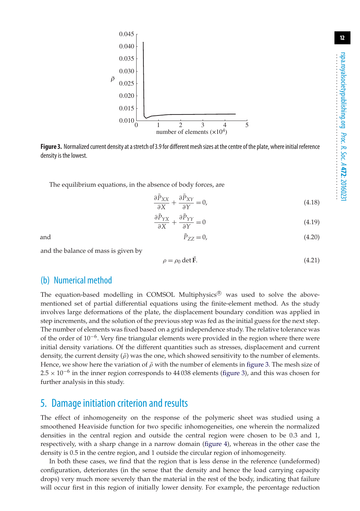

<span id="page-11-0"></span>Figure 3. Normalized current density at a stretch of 3.9 for different mesh sizes at the centre of the plate, where initial reference density is the lowest.

The equilibrium equations, in the absence of body forces, are

$$
\frac{\partial \bar{P}_{XX}}{\partial X} + \frac{\partial \bar{P}_{XY}}{\partial Y} = 0,\tag{4.18}
$$

$$
\frac{\partial \bar{P}_{YX}}{\partial X} + \frac{\partial \bar{P}_{YY}}{\partial Y} = 0
$$
\n(4.19)

and  $P_{ZZ} = 0$ , (4.20)

and the balance of mass is given by

$$
\rho = \rho_0 \det \bar{\mathbf{F}}.\tag{4.21}
$$

#### (b) Numerical method

The equation-based modelling in COMSOL Multiphysics $\mathcal{B}$  was used to solve the abovementioned set of partial differential equations using the finite-element method. As the study involves large deformations of the plate, the displacement boundary condition was applied in step increments, and the solution of the previous step was fed as the initial guess for the next step. The number of elements was fixed based on a grid independence study. The relative tolerance was of the order of  $10^{-6}$ . Very fine triangular elements were provided in the region where there were initial density variations. Of the different quantities such as stresses, displacement and current density, the current density  $(\bar{\rho})$  was the one, which showed sensitivity to the number of elements. Hence, we show here the variation of  $\bar{\rho}$  with the number of elements in [figure 3.](#page-11-0) The mesh size of  $2.5 \times 10^{-6}$  in the inner region corresponds to 44 038 elements [\(figure 3\)](#page-11-0), and this was chosen for further analysis in this study.

#### 5. Damage initiation criterion and results

The effect of inhomogeneity on the response of the polymeric sheet was studied using a smoothened Heaviside function for two specific inhomogeneities, one wherein the normalized densities in the central region and outside the central region were chosen to be 0.3 and 1, respectively, with a sharp change in a narrow domain [\(figure 4\)](#page-12-0), whereas in the other case the density is 0.5 in the centre region, and 1 outside the circular region of inhomogeneity.

In both these cases, we find that the region that is less dense in the reference (undeformed) configuration, deteriorates (in the sense that the density and hence the load carrying capacity drops) very much more severely than the material in the rest of the body, indicating that failure will occur first in this region of initially lower density. For example, the percentage reduction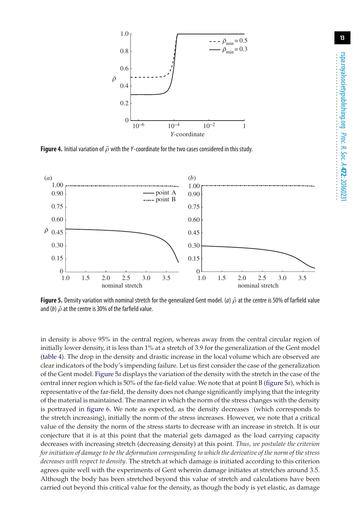

<span id="page-12-0"></span>**Figure 4.** Initial variation of  $\bar{\rho}$  with the Y-coordinate for the two cases considered in this study.



<span id="page-12-1"></span>**Figure 5.** Density variation with nominal stretch for the generalized Gent model. (*a*)  $\bar{\rho}$  at the centre is 50% of farfield value and (*b*)  $\bar{\rho}$  at the centre is 30% of the farfield value.

in density is above 95% in the central region, whereas away from the central circular region of initially lower density, it is less than 1% at a stretch of 3.9 for the generalization of the Gent model [\(table 4\)](#page-13-0). The drop in the density and drastic increase in the local volume which are observed are clear indicators of the body's impending failure. Let us first consider the case of the generalization of the Gent model. [Figure 5](#page-12-1)*a* displays the variation of the density with the stretch in the case of the central inner region which is 50% of the far-field value. We note that at point B [\(figure 5](#page-12-1)*a*), which is representative of the far-field, the density does not change significantly implying that the integrity of the material is maintained. The manner in which the norm of the stress changes with the density is portrayed in [figure 6.](#page-13-1) We note as expected, as the density decreases (which corresponds to the stretch increasing), initially the norm of the stress increases. However, we note that a critical value of the density the norm of the stress starts to decrease with an increase in stretch. It is our conjecture that it is at this point that the material gets damaged as the load carrying capacity decreases with increasing stretch (decreasing density) at this point. *Thus, we postulate the criterion for initiation of damage to be the deformation corresponding to which the derivative of the norm of the stress decreases with respect to density*. The stretch at which damage is initiated according to this criterion agrees quite well with the experiments of Gent wherein damage initiates at stretches around 3.5. Although the body has been stretched beyond this value of stretch and calculations have been carried out beyond this critical value for the density, as though the body is yet elastic, as damage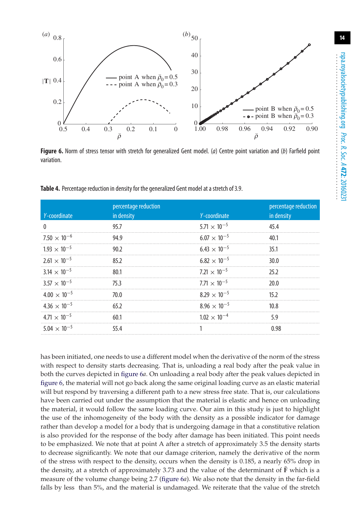

<span id="page-13-1"></span>**Figure 6.** Norm of stress tensor with stretch for generalized Gent model. (*a*) Centre point variation and (*b*) Farfield point variation.

| Y-coordinate          | percentage reduction<br>in density | Y-coordinate                   | percentage reduction<br>in density |
|-----------------------|------------------------------------|--------------------------------|------------------------------------|
| 0                     | 95.7                               | $5.71 \times 10^{-5}$          | 45.4                               |
| $7.50 \times 10^{-6}$ | 94.9                               | $6.07 \times 10^{-5}$          | 40.1                               |
| $1.93 \times 10^{-5}$ | 90.2                               | $6.43 \times 10^{-5}$          | 351                                |
| $2.61 \times 10^{-5}$ | 85.2                               | $6.82 \times 10^{-5}$          | 30.0                               |
| $3.14 \times 10^{-5}$ | 80.1                               | $7.21 \times 10^{-5}$          | 25.2                               |
| $3.57 \times 10^{-5}$ | 75.3                               | $7.71 \times 10^{-5}$          | 20.0                               |
| $4.00 \times 10^{-5}$ | 70.0                               | 8.29 $\times$ 10 <sup>-5</sup> | 15.2                               |
| $4.36 \times 10^{-5}$ | 65.2                               | $8.96 \times 10^{-5}$          | 10.8                               |
| $4.71 \times 10^{-5}$ | 60.1                               | $1.02 \times 10^{-4}$          | 5.9                                |
| $5.04 \times 10^{-5}$ | 554                                |                                | 0.98                               |

<span id="page-13-0"></span>**Table 4.** Percentage reduction in density for the generalized Gent model at a stretch of 3.9.

has been initiated, one needs to use a different model when the derivative of the norm of the stress with respect to density starts decreasing. That is, unloading a real body after the peak value in both the curves depicted in [figure 6](#page-13-1)*a*. On unloading a real body after the peak values depicted in [figure 6,](#page-13-1) the material will not go back along the same original loading curve as an elastic material will but respond by traversing a different path to a new stress free state. That is, our calculations have been carried out under the assumption that the material is elastic and hence on unloading the material, it would follow the same loading curve. Our aim in this study is just to highlight the use of the inhomogeneity of the body with the density as a possible indicator for damage rather than develop a model for a body that is undergoing damage in that a constitutive relation is also provided for the response of the body after damage has been initiated. This point needs to be emphasized. We note that at point A after a stretch of approximately 3.5 the density starts to decrease significantly. We note that our damage criterion, namely the derivative of the norm of the stress with respect to the density, occurs when the density is 0.185, a nearly 65% drop in the density, at a stretch of approximately 3.73 and the value of the determinant of  $\bar{F}$  which is a measure of the volume change being 2.7 [\(figure 6](#page-13-1)*a*). We also note that the density in the far-field falls by less than 5%, and the material is undamaged. We reiterate that the value of the stretch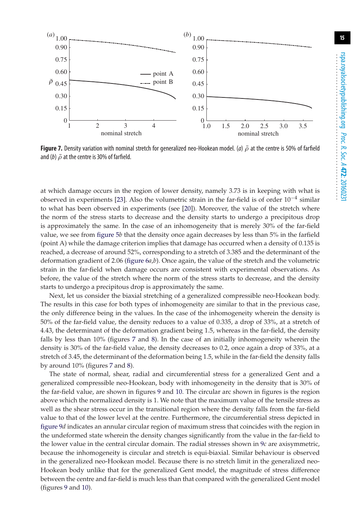

<span id="page-14-0"></span>**Figure 7.** Density variation with nominal stretch for generalized neo-Hookean model. (*a*)  $\bar{\rho}$  at the centre is 50% of farfield and (*b*)  $\bar{\rho}$  at the centre is 30% of farfield.

at which damage occurs in the region of lower density, namely 3.73 is in keeping with what is observed in experiments [\[23\]](#page-17-16). Also the volumetric strain in the far-field is of order  $10^{-4}$  similar to what has been observed in experiments (see [\[20\]](#page-17-13)). Moreover, the value of the stretch where the norm of the stress starts to decrease and the density starts to undergo a precipitous drop is approximately the same. In the case of an inhomogeneity that is merely 30% of the far-field value, we see from [figure 5](#page-12-1)*b* that the density once again decreases by less than 5% in the farfield (point A) while the damage criterion implies that damage has occurred when a density of 0.135 is reached, a decrease of around 52%, corresponding to a stretch of 3.385 and the determinant of the deformation gradient of 2.06 [\(figure 6](#page-13-1)*a*,*b*). Once again, the value of the stretch and the volumetric strain in the far-field when damage occurs are consistent with experimental observations. As before, the value of the stretch where the norm of the stress starts to decrease, and the density starts to undergo a precipitous drop is approximately the same.

Next, let us consider the biaxial stretching of a generalized compressible neo-Hookean body. The results in this case for both types of inhomogeneity are similar to that in the previous case, the only difference being in the values. In the case of the inhomogeneity wherein the density is 50% of the far-field value, the density reduces to a value of 0.335, a drop of 33%, at a stretch of 4.43, the determinant of the deformation gradient being 1.5, whereas in the far-field, the density falls by less than 10% (figures [7](#page-14-0) and [8\)](#page-15-0). In the case of an initially inhomogeneity wherein the density is 30% of the far-field value, the density decreases to 0.2, once again a drop of 33%, at a stretch of 3.45, the determinant of the deformation being 1.5, while in the far-field the density falls by around 10% (figures [7](#page-14-0) and [8\)](#page-15-0).

The state of normal, shear, radial and circumferential stress for a generalized Gent and a generalized compressible neo-Hookean, body with inhomogeneity in the density that is 30% of the far-field value, are shown in figures [9](#page-15-1) and [10.](#page-16-0) The circular arc shown in figures is the region above which the normalized density is 1. We note that the maximum value of the tensile stress as well as the shear stress occur in the transitional region where the density falls from the far-field value to that of the lower level at the centre. Furthermore, the circumferential stress depicted in [figure 9](#page-15-1)*d* indicates an annular circular region of maximum stress that coincides with the region in the undeformed state wherein the density changes significantly from the value in the far-field to the lower value in the central circular domain. The radial stresses shown in [9](#page-15-1)*c* are axisymmetric, because the inhomogeneity is circular and stretch is equi-biaxial. Similar behaviour is observed in the generalized neo-Hookean model. Because there is no stretch limit in the generalized neo-Hookean body unlike that for the generalized Gent model, the magnitude of stress difference between the centre and far-field is much less than that compared with the generalized Gent model (figures [9](#page-15-1) and [10\)](#page-16-0).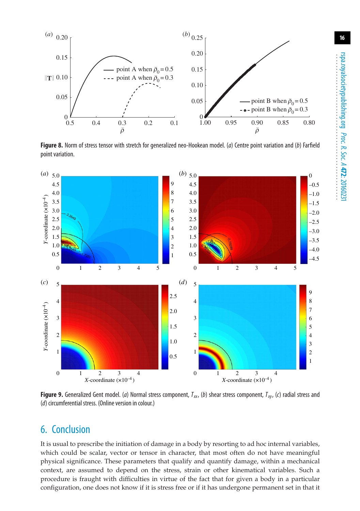

<span id="page-15-0"></span>**Figure 8.** Norm of stress tensor with stretch for generalized neo-Hookean model. (*a*) Centre point variation and (*b*) Farfield point variation.



<span id="page-15-1"></span>**Figure 9.** Generalized Gent model. (*a*) Normal stress component, *Txx*, (*b*) shear stress component, *Txy*, (*c*) radial stress and (*d*) circumferential stress. (Online version in colour.)

### 6. Conclusion

It is usual to prescribe the initiation of damage in a body by resorting to ad hoc internal variables, which could be scalar, vector or tensor in character, that most often do not have meaningful physical significance. These parameters that qualify and quantify damage, within a mechanical context, are assumed to depend on the stress, strain or other kinematical variables. Such a procedure is fraught with difficulties in virtue of the fact that for given a body in a particular configuration, one does not know if it is stress free or if it has undergone permanent set in that it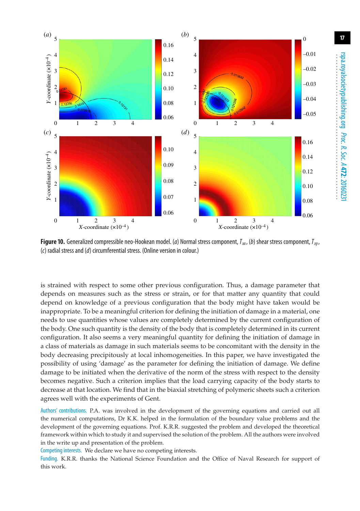

<span id="page-16-0"></span>**Figure 10.** Generalized compressible neo-Hookean model. (*a*) Normal stress component,*Txx*, (*b*) shear stress component,*Txy*, (*c*) radial stress and (*d*) circumferential stress. (Online version in colour.)

is strained with respect to some other previous configuration. Thus, a damage parameter that depends on measures such as the stress or strain, or for that matter any quantity that could depend on knowledge of a previous configuration that the body might have taken would be inappropriate. To be a meaningful criterion for defining the initiation of damage in a material, one needs to use quantities whose values are completely determined by the current configuration of the body. One such quantity is the density of the body that is completely determined in its current configuration. It also seems a very meaningful quantity for defining the initiation of damage in a class of materials as damage in such materials seems to be concomitant with the density in the body decreasing precipitously at local inhomogeneities. In this paper, we have investigated the possibility of using 'damage' as the parameter for defining the initiation of damage. We define damage to be initiated when the derivative of the norm of the stress with respect to the density becomes negative. Such a criterion implies that the load carrying capacity of the body starts to decrease at that location. We find that in the biaxial stretching of polymeric sheets such a criterion agrees well with the experiments of Gent.

Authors' contributions. P.A. was involved in the development of the governing equations and carried out all the numerical computations, Dr K.K. helped in the formulation of the boundary value problems and the development of the governing equations. Prof. K.R.R. suggested the problem and developed the theoretical framework within which to study it and supervised the solution of the problem. All the authors were involved in the write up and presentation of the problem.

Competing interests. We declare we have no competing interests.

Funding. K.R.R. thanks the National Science Foundation and the Office of Naval Research for support of this work.